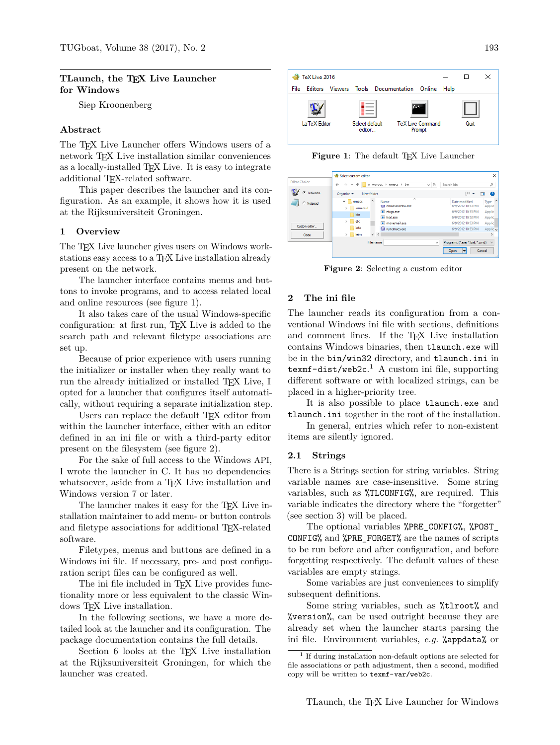## **TLaunch, the TEX Live Launcher for Windows**

Siep Kroonenberg

### **Abstract**

The T<sub>EX</sub> Live Launcher offers Windows users of a network T<sub>E</sub>X Live installation similar conveniences as a locally-installed T<sub>EX</sub> Live. It is easy to integrate additional TEX-related software.

This paper describes the launcher and its configuration. As an example, it shows how it is used at the Rijksuniversiteit Groningen.

### **1 Overview**

The TEX Live launcher gives users on Windows workstations easy access to a TFX Live installation already present on the network.

The launcher interface contains menus and buttons to invoke programs, and to access related local and online resources (see figure 1).

It also takes care of the usual Windows-specific configuration: at first run, TEX Live is added to the search path and relevant filetype associations are set up.

Because of prior experience with users running the initializer or installer when they really want to run the already initialized or installed T<sub>E</sub>X Live, I opted for a launcher that configures itself automatically, without requiring a separate initialization step.

Users can replace the default TEX editor from within the launcher interface, either with an editor defined in an ini file or with a third-party editor present on the filesystem (see figure 2).

For the sake of full access to the Windows API, I wrote the launcher in C. It has no dependencies whatsoever, aside from a T<sub>EX</sub> Live installation and Windows version 7 or later.

The launcher makes it easy for the T<sub>E</sub>X Live installation maintainer to add menu- or button controls and filetype associations for additional TEX-related software.

Filetypes, menus and buttons are defined in a Windows ini file. If necessary, pre- and post configuration script files can be configured as well.

The ini file included in T<sub>E</sub>X Live provides functionality more or less equivalent to the classic Windows TFX Live installation.

In the following sections, we have a more detailed look at the launcher and its configuration. The package documentation contains the full details.

Section 6 looks at the TEX Live installation at the Rijksuniversiteit Groningen, for which the launcher was created.





|                      | Select custom editor                                                                    |                                             | $\times$                              |
|----------------------|-----------------------------------------------------------------------------------------|---------------------------------------------|---------------------------------------|
| <b>Editor Choice</b> | « wprogs > emacs > bin<br>$\sim$ 0<br>$\rightarrow$<br>$\leftarrow$<br>$\omega$         | Search bin                                  | $\mathcal{L}$                         |
| TeXworks<br>G        | Organize v<br>New folder                                                                | ⊪ ▼                                         | Q<br>ш                                |
| C Notepad            | $\sim$<br>$\wedge$<br>$\checkmark$<br>Name<br>emacs<br>cap emacsclientw.exe<br>.emacs.d | Date modified<br>0/9/2012 10:53 PM          | $\hat{\phantom{a}}$<br>Type<br>Applic |
|                      | <b>E</b> etaqs.exe<br><b>bin</b><br>$F$ hexi.exe                                        | 6/9/2012 10:53 PM<br>6/9/2012 10:53 PM      | Applic<br>Applic                      |
| Custom editor        | etc<br>$\rightarrow$<br>movemail.exe<br>info<br>El runemacs.exe                         | 6/9/2012 10:53 PM<br>6/9/2012 10:53 PM      | Applic<br>Applic v                    |
| Close                | leim<br>$\vee$ <                                                                        |                                             | $\rightarrow$                         |
|                      | File name:<br>$\checkmark$                                                              | Programs (*.exe, *.bat, *.cmd)<br>Open<br>÷ | $\vee$<br>Cancel<br>a.                |

**Figure 2**: Selecting a custom editor

## **2 The ini file**

The launcher reads its configuration from a conventional Windows ini file with sections, definitions and comment lines. If the T<sub>E</sub>X Live installation contains Windows binaries, then tlaunch.exe will be in the bin/win32 directory, and tlaunch.ini in texmf-dist/web2c. <sup>1</sup> A custom ini file, supporting different software or with localized strings, can be placed in a higher-priority tree.

It is also possible to place tlaunch.exe and tlaunch.ini together in the root of the installation.

In general, entries which refer to non-existent items are silently ignored.

#### **2.1 Strings**

There is a Strings section for string variables. String variable names are case-insensitive. Some string variables, such as %TLCONFIG%, are required. This variable indicates the directory where the "forgetter" (see section 3) will be placed.

The optional variables %PRE\_CONFIG%, %POST\_ CONFIG% and %PRE\_FORGET% are the names of scripts to be run before and after configuration, and before forgetting respectively. The default values of these variables are empty strings.

Some variables are just conveniences to simplify subsequent definitions.

Some string variables, such as %tlroot% and %version%, can be used outright because they are already set when the launcher starts parsing the ini file. Environment variables, *e.g.* %appdata% or

<sup>1</sup> If during installation non-default options are selected for file associations or path adjustment, then a second, modified copy will be written to texmf-var/web2c.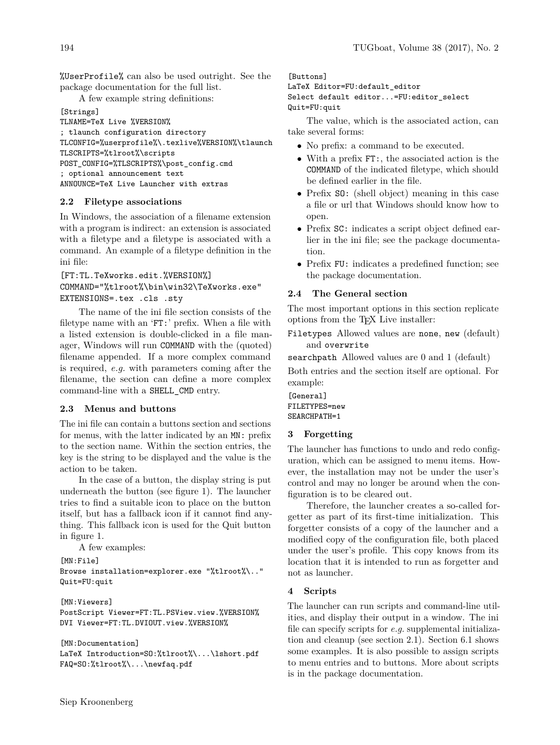%UserProfile% can also be used outright. See the package documentation for the full list.

A few example string definitions:

```
[Strings]
TLNAME=TeX Live %VERSION%
; tlaunch configuration directory
TLCONFIG=%userprofile%\.texlive%VERSION%\tlaunch
TLSCRIPTS=%tlroot%\scripts
POST_CONFIG=%TLSCRIPTS%\post_config.cmd
; optional announcement text
ANNOUNCE=TeX Live Launcher with extras
```
# **2.2 Filetype associations**

In Windows, the association of a filename extension with a program is indirect: an extension is associated with a filetype and a filetype is associated with a command. An example of a filetype definition in the ini file:

# [FT:TL.TeXworks.edit.%VERSION%] COMMAND="%tlroot%\bin\win32\TeXworks.exe" EXTENSIONS=.tex .cls .sty

The name of the ini file section consists of the filetype name with an 'FT:' prefix. When a file with a listed extension is double-clicked in a file manager, Windows will run COMMAND with the (quoted) filename appended. If a more complex command is required, *e.g.* with parameters coming after the filename, the section can define a more complex command-line with a SHELL\_CMD entry.

# **2.3 Menus and buttons**

The ini file can contain a buttons section and sections for menus, with the latter indicated by an MN: prefix to the section name. Within the section entries, the key is the string to be displayed and the value is the action to be taken.

In the case of a button, the display string is put underneath the button (see figure 1). The launcher tries to find a suitable icon to place on the button itself, but has a fallback icon if it cannot find anything. This fallback icon is used for the Quit button in figure 1.

A few examples:

```
[MN:File]
Browse installation=explorer.exe "%tlroot%\.."
Quit=FU:quit
```
[MN:Viewers] PostScript Viewer=FT:TL.PSView.view.%VERSION% DVI Viewer=FT:TL.DVIOUT.view.%VERSION%

```
[MN:Documentation]
LaTeX Introduction=SO:%tlroot%\...\lshort.pdf
FAQ=SO:%tlroot%\...\newfaq.pdf
```
[Buttons]

LaTeX Editor=FU:default\_editor Select default editor...=FU:editor\_select Quit=FU:quit

The value, which is the associated action, can take several forms:

- No prefix: a command to be executed.
- With a prefix FT:, the associated action is the COMMAND of the indicated filetype, which should be defined earlier in the file.
- Prefix SO: (shell object) meaning in this case a file or url that Windows should know how to open.
- Prefix SC: indicates a script object defined earlier in the ini file; see the package documentation.
- Prefix FU: indicates a predefined function; see the package documentation.

# **2.4 The General section**

The most important options in this section replicate options from the TEX Live installer:

Filetypes Allowed values are none, new (default) and overwrite

searchpath Allowed values are 0 and 1 (default)

Both entries and the section itself are optional. For example:

[General] FILETYPES=new SEARCHPATH=1

# **3 Forgetting**

The launcher has functions to undo and redo configuration, which can be assigned to menu items. However, the installation may not be under the user's control and may no longer be around when the configuration is to be cleared out.

Therefore, the launcher creates a so-called forgetter as part of its first-time initialization. This forgetter consists of a copy of the launcher and a modified copy of the configuration file, both placed under the user's profile. This copy knows from its location that it is intended to run as forgetter and not as launcher.

## **4 Scripts**

The launcher can run scripts and command-line utilities, and display their output in a window. The ini file can specify scripts for *e.g.* supplemental initialization and cleanup (see section 2.1). Section 6.1 shows some examples. It is also possible to assign scripts to menu entries and to buttons. More about scripts is in the package documentation.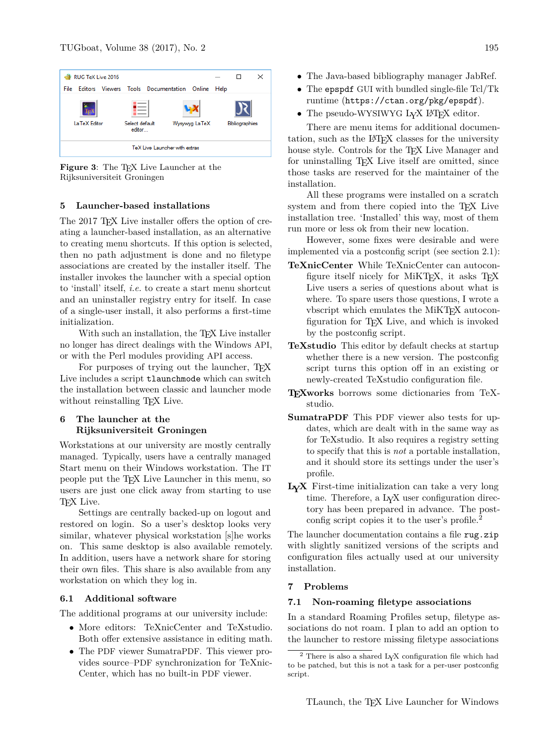

**Figure 3**: The TEX Live Launcher at the Rijksuniversiteit Groningen

### **5 Launcher-based installations**

The 2017 TFX Live installer offers the option of creating a launcher-based installation, as an alternative to creating menu shortcuts. If this option is selected, then no path adjustment is done and no filetype associations are created by the installer itself. The installer invokes the launcher with a special option to 'install' itself, *i.e.* to create a start menu shortcut and an uninstaller registry entry for itself. In case of a single-user install, it also performs a first-time initialization.

With such an installation, the T<sub>EX</sub> Live installer no longer has direct dealings with the Windows API, or with the Perl modules providing API access.

For purposes of trying out the launcher, TEX Live includes a script tlaunchmode which can switch the installation between classic and launcher mode without reinstalling TEX Live.

## **6 The launcher at the Rijksuniversiteit Groningen**

Workstations at our university are mostly centrally managed. Typically, users have a centrally managed Start menu on their Windows workstation. The IT people put the TEX Live Launcher in this menu, so users are just one click away from starting to use T<sub>E</sub>X Live.

Settings are centrally backed-up on logout and restored on login. So a user's desktop looks very similar, whatever physical workstation [s]he works on. This same desktop is also available remotely. In addition, users have a network share for storing their own files. This share is also available from any workstation on which they log in.

### **6.1 Additional software**

The additional programs at our university include:

- More editors: TeXnicCenter and TeXstudio. Both offer extensive assistance in editing math.
- The PDF viewer SumatraPDF. This viewer provides source–PDF synchronization for TeXnic-Center, which has no built-in PDF viewer.
- The Java-based bibliography manager JabRef.
- The epspdf GUI with bundled single-file Tcl/Tk runtime (https://ctan.org/pkg/epspdf).
- The pseudo-WYSIWYG L<sub>Y</sub>X L<sup>AT</sup>F<sub>X</sub> editor.

There are menu items for additional documentation, such as the LAT<sub>EX</sub> classes for the university house style. Controls for the TEX Live Manager and for uninstalling T<sub>EX</sub> Live itself are omitted, since those tasks are reserved for the maintainer of the installation.

All these programs were installed on a scratch system and from there copied into the TEX Live installation tree. 'Installed' this way, most of them run more or less ok from their new location.

However, some fixes were desirable and were implemented via a postconfig script (see section 2.1):

- **TeXnicCenter** While TeXnicCenter can autoconfigure itself nicely for MiKTFX, it asks TFX Live users a series of questions about what is where. To spare users those questions, I wrote a vbscript which emulates the MiKT<sub>E</sub>X autoconfiguration for TEX Live, and which is invoked by the postconfig script.
- **TeXstudio** This editor by default checks at startup whether there is a new version. The postconfig script turns this option off in an existing or newly-created TeXstudio configuration file.
- **TEXworks** borrows some dictionaries from TeXstudio.
- **SumatraPDF** This PDF viewer also tests for updates, which are dealt with in the same way as for TeXstudio. It also requires a registry setting to specify that this is *not* a portable installation, and it should store its settings under the user's profile.
- **LYX** First-time initialization can take a very long time. Therefore, a L<sub>Y</sub>X user configuration directory has been prepared in advance. The postconfig script copies it to the user's profile.<sup>2</sup>

The launcher documentation contains a file rug.zip with slightly sanitized versions of the scripts and configuration files actually used at our university installation.

### **7 Problems**

### **7.1 Non-roaming filetype associations**

In a standard Roaming Profiles setup, filetype associations do not roam. I plan to add an option to the launcher to restore missing filetype associations

 $2$  There is also a shared L<sub>Y</sub>X configuration file which had to be patched, but this is not a task for a per-user postconfig script.